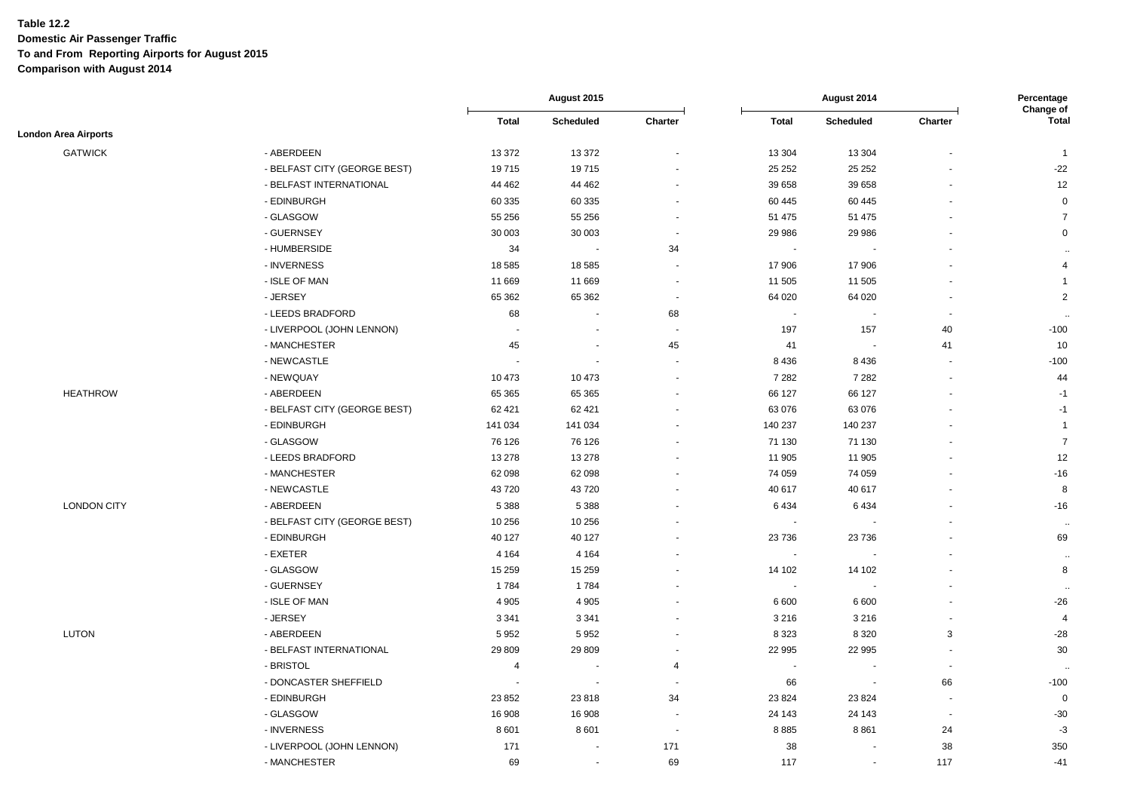|                             |                              |                          | August 2015    |                          | August 2014              |                          |                          | Percentage<br>Change of |
|-----------------------------|------------------------------|--------------------------|----------------|--------------------------|--------------------------|--------------------------|--------------------------|-------------------------|
|                             |                              | <b>Total</b>             | Scheduled      | Charter                  | <b>Total</b>             | Scheduled                | Charter                  | <b>Total</b>            |
| <b>London Area Airports</b> |                              |                          |                |                          |                          |                          |                          |                         |
| <b>GATWICK</b>              | - ABERDEEN                   | 13 372                   | 13 372         | $\overline{\phantom{a}}$ | 13 304                   | 13 304                   |                          | $\overline{1}$          |
|                             | - BELFAST CITY (GEORGE BEST) | 19715                    | 19715          |                          | 25 25 2                  | 25 25 2                  |                          | $-22$                   |
|                             | - BELFAST INTERNATIONAL      | 44 4 62                  | 44 462         |                          | 39 658                   | 39 658                   |                          | 12                      |
|                             | - EDINBURGH                  | 60 335                   | 60 335         | $\overline{\phantom{a}}$ | 60 445                   | 60 4 45                  |                          | $\pmb{0}$               |
|                             | - GLASGOW                    | 55 256                   | 55 256         | $\sim$                   | 51 475                   | 51 475                   |                          | $\overline{7}$          |
|                             | - GUERNSEY                   | 30 003                   | 30 003         | $\blacksquare$           | 29 986                   | 29 986                   |                          | $\mathbf 0$             |
|                             | - HUMBERSIDE                 | 34                       |                | 34                       | $\sim$                   |                          |                          | $\ddotsc$               |
|                             | - INVERNESS                  | 18 5 85                  | 18 5 85        |                          | 17 906                   | 17 906                   |                          | 4                       |
|                             | - ISLE OF MAN                | 11 669                   | 11 669         | $\blacksquare$           | 11 505                   | 11 505                   |                          | $\overline{1}$          |
|                             | - JERSEY                     | 65 362                   | 65 362         | $\overline{\phantom{a}}$ | 64 020                   | 64 0 20                  |                          | $\overline{2}$          |
|                             | - LEEDS BRADFORD             | 68                       |                | 68                       |                          | ÷.                       | ÷,                       | $\ddotsc$               |
|                             | - LIVERPOOL (JOHN LENNON)    | $\overline{\phantom{a}}$ |                | $\overline{a}$           | 197                      | 157                      | 40                       | $-100$                  |
|                             | - MANCHESTER                 | 45                       | $\sim$         | 45                       | 41                       | $\sim$                   | 41                       | 10                      |
|                             | - NEWCASTLE                  |                          |                | $\overline{\phantom{a}}$ | 8 4 3 6                  | 8 4 3 6                  |                          | $-100$                  |
|                             | - NEWQUAY                    | 10 473                   | 10 473         |                          | 7 2 8 2                  | 7 2 8 2                  |                          | 44                      |
| <b>HEATHROW</b>             | - ABERDEEN                   | 65 365                   | 65 365         |                          | 66 127                   | 66 127                   |                          | $-1$                    |
|                             | - BELFAST CITY (GEORGE BEST) | 62 421                   | 62 421         |                          | 63 076                   | 63 076                   |                          | $-1$                    |
|                             | - EDINBURGH                  | 141 034                  | 141 034        |                          | 140 237                  | 140 237                  |                          | $\overline{1}$          |
|                             | - GLASGOW                    | 76 126                   | 76 126         |                          | 71 130                   | 71 130                   |                          | $\overline{7}$          |
|                             | - LEEDS BRADFORD             | 13 278                   | 13 278         |                          | 11 905                   | 11 905                   |                          | 12                      |
|                             | - MANCHESTER                 | 62 098                   | 62 098         |                          | 74 059                   | 74 059                   |                          | $-16$                   |
|                             | - NEWCASTLE                  | 43720                    | 43720          |                          | 40 617                   | 40 617                   |                          | 8                       |
| <b>LONDON CITY</b>          | - ABERDEEN                   | 5 3 8 8                  | 5 3 8 8        |                          | 6434                     | 6 4 3 4                  |                          | $-16$                   |
|                             | - BELFAST CITY (GEORGE BEST) | 10 256                   | 10 256         |                          |                          |                          |                          | $\sim$                  |
|                             | - EDINBURGH                  | 40 127                   | 40 127         |                          | 23 7 36                  | 23736                    |                          | 69                      |
|                             | - EXETER                     | 4 1 6 4                  | 4 1 6 4        |                          | $\overline{\phantom{a}}$ | $\blacksquare$           |                          | $\sim$                  |
|                             | - GLASGOW                    | 15 259                   | 15 259         |                          | 14 102                   | 14 102                   |                          | 8                       |
|                             | - GUERNSEY                   | 1784                     | 1784           |                          |                          | $\overline{\phantom{a}}$ |                          | $\sim$                  |
|                             | - ISLE OF MAN                | 4 9 0 5                  | 4 9 0 5        |                          | 6 600                    | 6 600                    |                          | $-26$                   |
|                             | - JERSEY                     | 3 3 4 1                  | 3 3 4 1        | $\sim$                   | 3 2 1 6                  | 3 2 1 6                  | $\sim$                   | $\overline{4}$          |
| <b>LUTON</b>                | - ABERDEEN                   | 5952                     | 5952           | ÷.                       | 8 3 2 3                  | 8 3 2 0                  | 3                        | $-28$                   |
|                             | - BELFAST INTERNATIONAL      | 29 809                   | 29 809         | $\sim$                   | 22 995                   | 22 995                   | $\sim$                   | 30                      |
|                             | - BRISTOL                    | $\overline{4}$           |                | 4                        |                          |                          | $\blacksquare$           |                         |
|                             | - DONCASTER SHEFFIELD        | $\overline{\phantom{a}}$ |                | ÷,                       | 66                       | $\blacksquare$           | 66                       | $-100$                  |
|                             | - EDINBURGH                  | 23 852                   | 23818          | 34                       | 23 8 24                  | 23 8 24                  | $\sim$                   | $\overline{0}$          |
|                             | - GLASGOW                    | 16 908                   | 16 908         | $\blacksquare$           | 24 143                   | 24 143                   | $\overline{\phantom{a}}$ | $-30$                   |
|                             | - INVERNESS                  | 8 6 0 1                  | 8601           | $\ddot{\phantom{a}}$     | 8885                     | 8861                     | 24                       | $-3$                    |
|                             | - LIVERPOOL (JOHN LENNON)    | 171                      |                | 171                      | 38                       |                          | 38                       | 350                     |
|                             | - MANCHESTER                 | 69                       | $\blacksquare$ | 69                       | 117                      | $\blacksquare$           | 117                      | $-41$                   |
|                             |                              |                          |                |                          |                          |                          |                          |                         |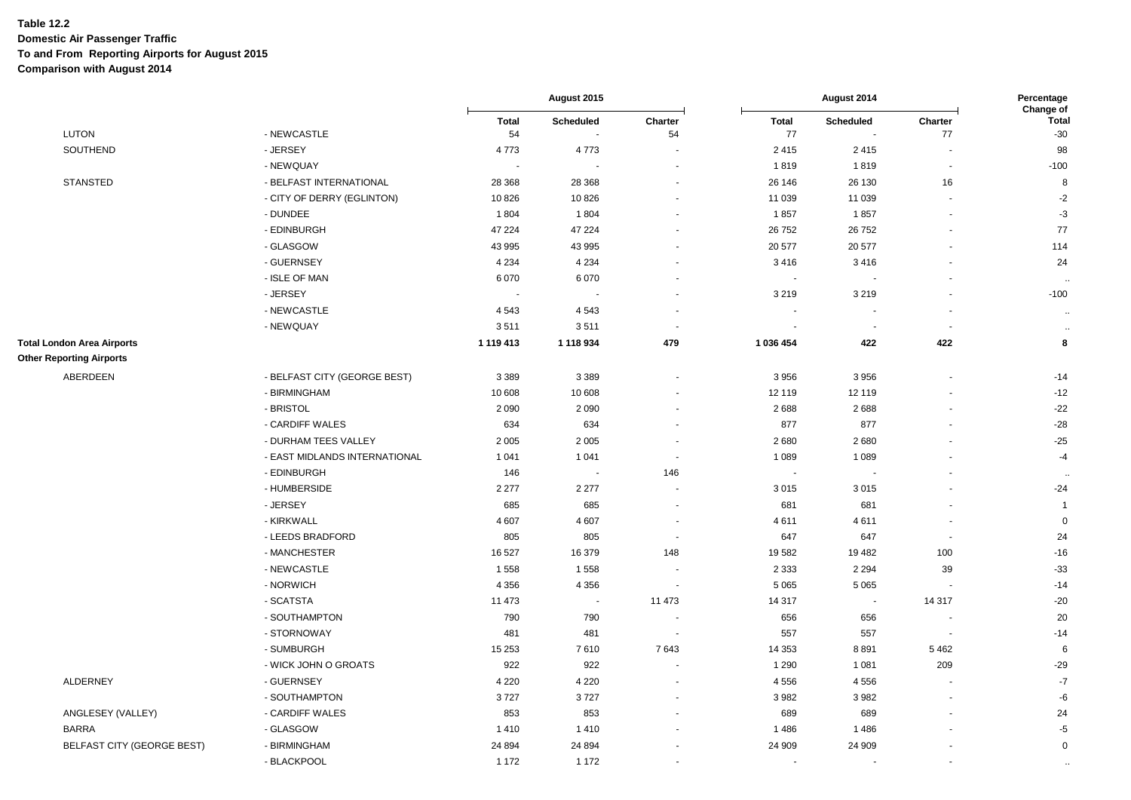|                                                                      |                               | August 2015              |                             |                          |                          | Percentage<br>Change of           |                |                       |
|----------------------------------------------------------------------|-------------------------------|--------------------------|-----------------------------|--------------------------|--------------------------|-----------------------------------|----------------|-----------------------|
| <b>LUTON</b>                                                         | - NEWCASTLE                   | <b>Total</b><br>54       | Scheduled<br>$\blacksquare$ | Charter<br>54            | <b>Total</b><br>77       | Scheduled<br>$\ddot{\phantom{a}}$ | Charter<br>77  | <b>Total</b><br>$-30$ |
| SOUTHEND                                                             | - JERSEY                      | 4773                     | 4773                        |                          | 2415                     | 2415                              | $\blacksquare$ | 98                    |
|                                                                      | - NEWQUAY                     | $\overline{\phantom{a}}$ |                             |                          | 1819                     | 1819                              | $\blacksquare$ | $-100$                |
| <b>STANSTED</b>                                                      | - BELFAST INTERNATIONAL       | 28 3 68                  | 28 368                      |                          | 26 146                   | 26 130                            | 16             | 8                     |
|                                                                      | - CITY OF DERRY (EGLINTON)    | 10826                    | 10 826                      |                          | 11 039                   | 11 039                            |                | $-2$                  |
|                                                                      | - DUNDEE                      | 1804                     | 1804                        |                          | 1857                     | 1857                              |                | $-3$                  |
|                                                                      | - EDINBURGH                   | 47 224                   | 47 224                      |                          | 26 752                   | 26 752                            |                | $77 \,$               |
|                                                                      | - GLASGOW                     | 43 995                   | 43 995                      |                          | 20 577                   | 20 577                            |                | 114                   |
|                                                                      | - GUERNSEY                    | 4 2 3 4                  | 4 2 3 4                     |                          | 3416                     | 3416                              |                | 24                    |
|                                                                      | - ISLE OF MAN                 | 6070                     | 6 0 7 0                     |                          | $\sim$                   | $\overline{\phantom{a}}$          |                | $\ddotsc$             |
|                                                                      | - JERSEY                      | $\sim$                   |                             |                          | 3 2 1 9                  | 3 2 1 9                           |                | $-100$                |
|                                                                      | - NEWCASTLE                   | 4 5 4 3                  | 4543                        |                          |                          | $\overline{\phantom{a}}$          |                | $\cdot\cdot$          |
|                                                                      | - NEWQUAY                     | 3511                     | 3511                        |                          |                          | . .                               | ÷.             | $\bullet\bullet$      |
| <b>Total London Area Airports</b><br><b>Other Reporting Airports</b> |                               | 1 119 413                | 1 118 934                   | 479                      | 1 036 454                | 422                               | 422            | 8                     |
| ABERDEEN                                                             | - BELFAST CITY (GEORGE BEST)  | 3 3 8 9                  | 3 3 8 9                     |                          | 3 9 5 6                  | 3956                              |                | $-14$                 |
|                                                                      | - BIRMINGHAM                  | 10 608                   | 10 608                      |                          | 12 119                   | 12 119                            |                | $-12$                 |
|                                                                      | - BRISTOL                     | 2090                     | 2 0 9 0                     |                          | 2688                     | 2688                              |                | $-22$                 |
|                                                                      | - CARDIFF WALES               | 634                      | 634                         |                          | 877                      | 877                               |                | $-28$                 |
|                                                                      | - DURHAM TEES VALLEY          | 2 0 0 5                  | 2 0 0 5                     |                          | 2680                     | 2680                              |                | $-25$                 |
|                                                                      | - EAST MIDLANDS INTERNATIONAL | 1 0 4 1                  | 1 0 4 1                     |                          | 1 0 8 9                  | 1 0 8 9                           |                | $-4$                  |
|                                                                      | - EDINBURGH                   | 146                      | $\blacksquare$              | 146                      | $\sim$                   | $\blacksquare$                    |                |                       |
|                                                                      | - HUMBERSIDE                  | 2 2 7 7                  | 2 2 7 7                     |                          | 3015                     | 3015                              |                | $-24$                 |
|                                                                      | - JERSEY                      | 685                      | 685                         | $\overline{\phantom{a}}$ | 681                      | 681                               |                | $\overline{1}$        |
|                                                                      | - KIRKWALL                    | 4607                     | 4 607                       |                          | 4611                     | 4611                              |                | $\overline{0}$        |
|                                                                      | - LEEDS BRADFORD              | 805                      | 805                         | $\overline{\phantom{a}}$ | 647                      | 647                               | $\sim$         | 24                    |
|                                                                      | - MANCHESTER                  | 16 527                   | 16 379                      | 148                      | 19582                    | 19 4 82                           | 100            | $-16$                 |
|                                                                      | - NEWCASTLE                   | 1558                     | 1558                        |                          | 2 3 3 3                  | 2 2 9 4                           | 39             | $-33$                 |
|                                                                      | - NORWICH                     | 4 3 5 6                  | 4 3 5 6                     |                          | 5 0 6 5                  | 5 0 6 5                           |                | $-14$                 |
|                                                                      | - SCATSTA                     | 11 473                   | $\overline{\phantom{a}}$    | 11 473                   | 14 317                   | $\sim$                            | 14 317         | $-20$                 |
|                                                                      | - SOUTHAMPTON                 | 790                      | 790                         |                          | 656                      | 656                               |                | 20                    |
|                                                                      | - STORNOWAY                   | 481                      | 481                         | $\overline{\phantom{a}}$ | 557                      | 557                               | $\sim$         | $-14$                 |
|                                                                      | - SUMBURGH                    | 15 2 53<br>7610<br>7643  |                             | 14 3 53                  | 8891                     | 5462                              | 6              |                       |
|                                                                      | - WICK JOHN O GROATS          | 922                      | 922                         |                          | 1 2 9 0                  | 1 0 8 1                           | 209            | $-29$                 |
| <b>ALDERNEY</b>                                                      | - GUERNSEY                    | 4 2 2 0                  | 4 2 2 0                     |                          | 4556                     | 4556                              | $\blacksquare$ | $-7$                  |
|                                                                      | - SOUTHAMPTON                 | 3727                     | 3727                        |                          | 3982                     | 3982                              |                | -6                    |
| ANGLESEY (VALLEY)                                                    | - CARDIFF WALES               | 853                      | 853                         |                          | 689                      | 689                               |                | 24                    |
| <b>BARRA</b>                                                         | - GLASGOW                     | 1410                     | 1410                        |                          | 1486                     | 1486                              |                | $-5$                  |
| BELFAST CITY (GEORGE BEST)                                           | - BIRMINGHAM                  | 24 8 94                  | 24 8 94                     |                          | 24 909                   | 24 909                            |                | $\mathbf 0$           |
|                                                                      | - BLACKPOOL                   | 1 1 7 2                  | 1 1 7 2                     |                          | $\overline{\phantom{a}}$ |                                   |                | $\sim$                |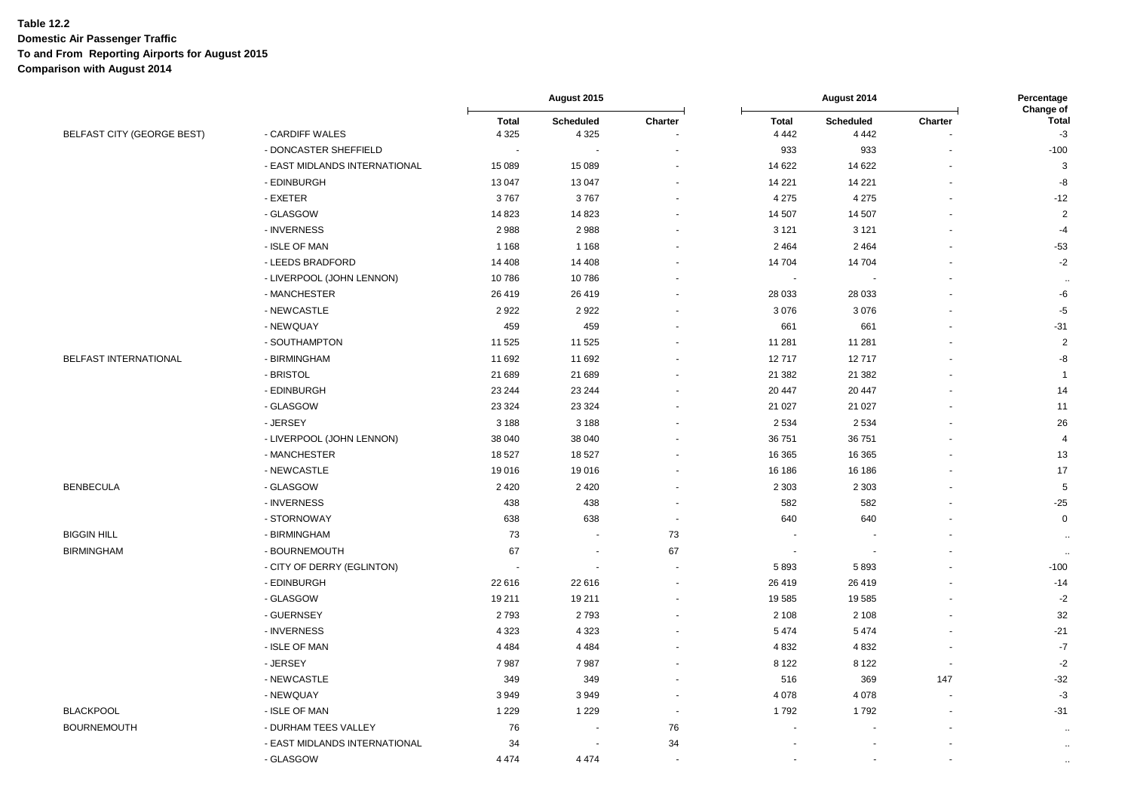|                            |                               | August 2015             |                          |                          | August 2014              |                             |                          |                                   |
|----------------------------|-------------------------------|-------------------------|--------------------------|--------------------------|--------------------------|-----------------------------|--------------------------|-----------------------------------|
| BELFAST CITY (GEORGE BEST) | - CARDIFF WALES               | <b>Total</b><br>4 3 2 5 | Scheduled<br>4 3 2 5     | Charter                  | <b>Total</b><br>4 4 4 2  | <b>Scheduled</b><br>4 4 4 2 | Charter                  | Change of<br><b>Total</b><br>$-3$ |
|                            | - DONCASTER SHEFFIELD         |                         |                          |                          | 933                      | 933                         |                          | $-100$                            |
|                            | - EAST MIDLANDS INTERNATIONAL | 15 0 89                 | 15 089                   |                          | 14 622                   | 14 622                      |                          | 3                                 |
|                            | - EDINBURGH                   | 13 047                  | 13 047                   |                          | 14 221                   | 14 2 21                     |                          | -8                                |
|                            | - EXETER                      | 3767                    | 3767                     |                          | 4 2 7 5                  | 4 2 7 5                     |                          | $-12$                             |
|                            | - GLASGOW                     | 14823                   | 14 823                   |                          | 14 507                   | 14 507                      |                          | $\overline{2}$                    |
|                            | - INVERNESS                   | 2988                    | 2988                     |                          | 3 1 2 1                  | 3 1 2 1                     |                          | $-4$                              |
|                            | - ISLE OF MAN                 | 1 1 6 8                 | 1 1 6 8                  |                          | 2 4 6 4                  | 2 4 6 4                     |                          | $-53$                             |
|                            | - LEEDS BRADFORD              | 14 40 8                 | 14 408                   |                          | 14 704                   | 14 704                      |                          | $-2$                              |
|                            | - LIVERPOOL (JOHN LENNON)     | 10786                   | 10786                    |                          | $\overline{\phantom{a}}$ |                             |                          | $\ddotsc$                         |
|                            | - MANCHESTER                  | 26 419                  | 26 419                   |                          | 28 0 33                  | 28 0 33                     |                          | -6                                |
|                            | - NEWCASTLE                   | 2922                    | 2922                     |                          | 3076                     | 3076                        |                          | $-5$                              |
|                            | - NEWQUAY                     | 459                     | 459                      |                          | 661                      | 661                         |                          | $-31$                             |
|                            | - SOUTHAMPTON                 | 11 525                  | 11 525                   |                          | 11 281                   | 11 281                      |                          | $\overline{2}$                    |
| BELFAST INTERNATIONAL      | - BIRMINGHAM                  | 11 692                  | 11 692                   |                          | 12717                    | 12717                       |                          | $\textnormal{-}8$                 |
|                            | - BRISTOL                     | 21 689                  | 21 689                   |                          | 21 3 8 2                 | 21 382                      |                          | $\overline{1}$                    |
|                            | - EDINBURGH                   | 23 244                  | 23 244                   |                          | 20 447                   | 20 447                      |                          | 14                                |
|                            | - GLASGOW                     | 23 3 24                 | 23 3 24                  |                          | 21 0 27                  | 21 0 27                     |                          | 11                                |
|                            | - JERSEY                      | 3 1 8 8                 | 3 1 8 8                  |                          | 2 5 3 4                  | 2 5 3 4                     |                          | 26                                |
|                            | - LIVERPOOL (JOHN LENNON)     | 38 040                  | 38 040                   |                          | 36 751                   | 36751                       |                          | $\overline{4}$                    |
|                            | - MANCHESTER                  | 18 527                  | 18 527                   |                          | 16 365                   | 16 365                      |                          | 13                                |
|                            | - NEWCASTLE                   | 19016                   | 19016                    |                          | 16 186                   | 16 186                      |                          | 17                                |
| <b>BENBECULA</b>           | - GLASGOW                     | 2 4 2 0                 | 2 4 2 0                  |                          | 2 3 0 3                  | 2 3 0 3                     |                          | $\sqrt{5}$                        |
|                            | - INVERNESS                   | 438                     | 438                      |                          | 582                      | 582                         |                          | $-25$                             |
|                            | - STORNOWAY                   | 638                     | 638                      | $\sim$                   | 640                      | 640                         |                          | $\mathbf 0$                       |
| <b>BIGGIN HILL</b>         | - BIRMINGHAM                  | 73                      |                          | 73                       |                          |                             |                          | $\ddotsc$                         |
| <b>BIRMINGHAM</b>          | - BOURNEMOUTH                 | 67                      | $\overline{\phantom{a}}$ | 67                       | $\overline{\phantom{a}}$ |                             |                          | $\ddotsc$                         |
|                            | - CITY OF DERRY (EGLINTON)    |                         | $\overline{a}$           | $\overline{\phantom{a}}$ | 5893                     | 5893                        |                          | $-100$                            |
|                            | - EDINBURGH                   | 22 616                  | 22 616                   |                          | 26 419                   | 26 419                      |                          | $-14$                             |
|                            | - GLASGOW                     | 19 211                  | 19 211                   |                          | 19585                    | 19 585                      |                          | $-2$                              |
|                            | - GUERNSEY                    | 2793                    | 2793                     |                          | 2 1 0 8                  | 2 1 0 8                     |                          | 32                                |
|                            | - INVERNESS                   | 4 3 2 3                 | 4 3 2 3                  |                          | 5474                     | 5474                        |                          | $-21$                             |
|                            | - ISLE OF MAN                 | 4 4 8 4                 | 4 4 8 4                  |                          | 4832                     | 4 8 3 2                     |                          | $-7$                              |
|                            | - JERSEY                      | 7987                    | 7987                     |                          | 8 1 2 2                  | 8 1 2 2                     | $\blacksquare$           | $-2$                              |
|                            | - NEWCASTLE                   | 349                     | 349                      |                          | 516                      | 369                         | 147                      | $-32$                             |
|                            | - NEWQUAY                     | 3949                    | 3949                     | $\overline{\phantom{a}}$ | 4 0 7 8                  | 4 0 7 8                     | $\overline{\phantom{a}}$ | $-3$                              |
| <b>BLACKPOOL</b>           | - ISLE OF MAN                 | 1 2 2 9                 | 1 2 2 9                  | $\overline{\phantom{a}}$ | 1792                     | 1792                        |                          | $-31$                             |
| <b>BOURNEMOUTH</b>         | - DURHAM TEES VALLEY          | 76                      | $\overline{\phantom{a}}$ | 76                       |                          |                             |                          | $\ddotsc$                         |
|                            | - EAST MIDLANDS INTERNATIONAL | 34                      |                          | 34                       |                          |                             |                          | $\ddot{\phantom{a}}$              |
|                            | - GLASGOW                     | 4 4 7 4                 | 4 4 7 4                  | $\sim$                   |                          |                             |                          | $\ldots$                          |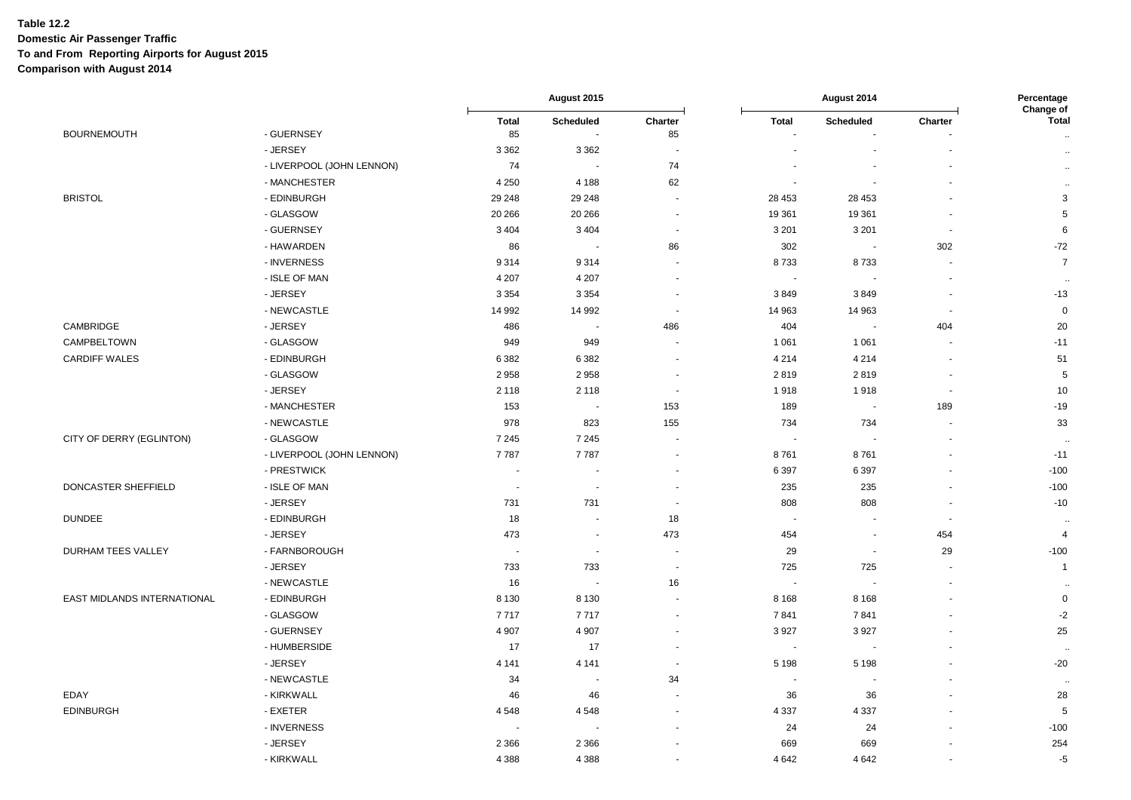|                             |                           | August 2015              |                          |                          | August 2014              |                          |                          |                           |
|-----------------------------|---------------------------|--------------------------|--------------------------|--------------------------|--------------------------|--------------------------|--------------------------|---------------------------|
| <b>BOURNEMOUTH</b>          | - GUERNSEY                | <b>Total</b>             | Scheduled<br>$\sim$      | Charter<br>85            | <b>Total</b>             | <b>Scheduled</b>         | Charter                  | Change of<br><b>Total</b> |
|                             | - JERSEY                  | 85<br>3 3 6 2            | 3 3 6 2                  |                          | $\sim$                   | $\blacksquare$           |                          | $\bullet\bullet$          |
|                             | - LIVERPOOL (JOHN LENNON) | 74                       | $\sim$                   | 74                       |                          |                          |                          | $\sim$                    |
|                             | - MANCHESTER              | 4 2 5 0                  | 4 1 8 8                  | 62                       |                          |                          |                          | $\ldots$                  |
| <b>BRISTOL</b>              | - EDINBURGH               | 29 248                   | 29 248                   | $\sim$                   | 28 453                   | 28 453                   |                          | $\ddotsc$<br>3            |
|                             | - GLASGOW                 | 20 26 6                  | 20 26 6                  | $\sim$                   | 19 361                   | 19 361                   |                          | 5                         |
|                             | - GUERNSEY                | 3 4 0 4                  | 3 4 0 4                  | $\sim$                   | 3 2 0 1                  | 3 2 0 1                  | $\sim$                   | 6                         |
|                             | - HAWARDEN                | 86                       | $\sim$                   | 86                       | 302                      | $\sim$                   | 302                      | $-72$                     |
|                             | - INVERNESS               |                          |                          |                          |                          |                          |                          | $\overline{7}$            |
|                             | - ISLE OF MAN             | 9314                     | 9 3 1 4                  | $\sim$                   | 8733                     | 8733                     | $\sim$                   |                           |
|                             |                           | 4 2 0 7                  | 4 2 0 7                  | $\sim$<br>$\sim$         | $\sim$                   | $\sim$                   | $\overline{\phantom{a}}$ | $\ddot{\phantom{a}}$      |
|                             | - JERSEY                  | 3 3 5 4                  | 3 3 5 4                  |                          | 3849                     | 3849                     |                          | $-13$                     |
|                             | - NEWCASTLE               | 14 992                   | 14 992                   | $\sim$                   | 14 963                   | 14 963                   | $\blacksquare$           | $\pmb{0}$                 |
| CAMBRIDGE                   | - JERSEY                  | 486                      | $\blacksquare$           | 486                      | 404                      | $\sim$                   | 404                      | 20                        |
| CAMPBELTOWN                 | - GLASGOW                 | 949                      | 949                      | $\overline{\phantom{a}}$ | 1 0 6 1                  | 1 0 6 1                  | $\overline{\phantom{a}}$ | $-11$                     |
| <b>CARDIFF WALES</b>        | - EDINBURGH               | 6382                     | 6 3 8 2                  | $\overline{\phantom{a}}$ | 4 2 1 4                  | 4 2 1 4                  | $\overline{\phantom{a}}$ | 51                        |
|                             | - GLASGOW                 | 2958                     | 2958                     | $\sim$                   | 2819                     | 2819                     | $\overline{\phantom{a}}$ | $\sqrt{5}$                |
|                             | - JERSEY                  | 2 1 1 8                  | 2 1 1 8                  | $\sim$                   | 1918                     | 1918                     | $\sim$                   | 10                        |
|                             | - MANCHESTER              | 153                      | $\sim$                   | 153                      | 189                      | $\blacksquare$           | 189                      | $-19$                     |
|                             | - NEWCASTLE               | 978                      | 823                      | 155                      | 734                      | 734                      |                          | 33                        |
| CITY OF DERRY (EGLINTON)    | - GLASGOW                 | 7 2 4 5                  | 7 2 4 5                  |                          | $\overline{\phantom{a}}$ |                          |                          | $\ddot{\phantom{1}}$      |
|                             | - LIVERPOOL (JOHN LENNON) | 7787                     | 7787                     |                          | 8761                     | 8761                     |                          | $-11$                     |
|                             | - PRESTWICK               | $\blacksquare$           | $\overline{\phantom{a}}$ | $\overline{\phantom{a}}$ | 6 3 9 7                  | 6 3 9 7                  | $\overline{\phantom{a}}$ | $-100$                    |
| DONCASTER SHEFFIELD         | - ISLE OF MAN             | $\overline{\phantom{a}}$ | $\sim$                   | $\overline{\phantom{a}}$ | 235                      | 235                      | $\overline{\phantom{a}}$ | $-100$                    |
|                             | - JERSEY                  | 731                      | 731                      | $\sim$                   | 808                      | 808                      | $\sim$                   | $-10$                     |
| <b>DUNDEE</b>               | - EDINBURGH               | 18                       | $\sim$                   | 18                       | $\sim$                   | $\overline{\phantom{a}}$ | $\overline{\phantom{a}}$ | $\ddot{\phantom{a}}$      |
|                             | - JERSEY                  | 473                      | $\blacksquare$           | 473                      | 454                      | $\sim$                   | 454                      | $\overline{4}$            |
| DURHAM TEES VALLEY          | - FARNBOROUGH             | $\overline{\phantom{a}}$ | $\sim$                   | $\overline{\phantom{a}}$ | 29                       | $\sim$                   | 29                       | $-100$                    |
|                             | - JERSEY                  | 733                      | 733                      | $\sim$                   | 725                      | 725                      | $\sim$                   | $\mathbf{1}$              |
|                             | - NEWCASTLE               | 16                       | $\sim$                   | 16                       | $\overline{\phantom{a}}$ |                          |                          | $\ddot{\phantom{a}}$      |
| EAST MIDLANDS INTERNATIONAL | - EDINBURGH               | 8 1 3 0                  | 8 1 3 0                  |                          | 8 1 6 8                  | 8 1 6 8                  |                          | $\mathsf 0$               |
|                             | - GLASGOW                 | 7717                     | 7717                     |                          | 7841                     | 7841                     |                          | $-2$                      |
|                             | - GUERNSEY                | 4 9 0 7                  | 4 9 0 7                  | $\overline{\phantom{a}}$ | 3927                     | 3927                     |                          | 25                        |
|                             | - HUMBERSIDE              | 17                       | 17                       |                          |                          |                          |                          | $\sim$                    |
|                             | - JERSEY                  | 4 1 4 1                  | 4 1 4 1                  | $\sim$                   | 5 1 9 8                  | 5 1 9 8                  |                          | $-20$                     |
|                             | - NEWCASTLE               | 34                       | $\sim$                   | 34                       | $\overline{\phantom{a}}$ | $\sim$                   |                          | $\sim$                    |
| EDAY                        | - KIRKWALL                | 46                       | 46                       |                          | 36                       | 36                       |                          | 28                        |
| <b>EDINBURGH</b>            | - EXETER                  | 4548                     | 4548                     |                          | 4 3 3 7                  | 4 3 3 7                  |                          | $\sqrt{5}$                |
|                             | - INVERNESS               | $\sim$                   | $\sim$                   |                          | 24                       | 24                       |                          | $-100$                    |
|                             | - JERSEY                  | 2 3 6 6                  | 2 3 6 6                  |                          | 669                      | 669                      |                          | 254                       |
|                             | - KIRKWALL                | 4 3 8 8                  | 4 3 8 8                  |                          | 4 6 4 2                  | 4 6 4 2                  |                          | $-5$                      |
|                             |                           |                          |                          |                          |                          |                          |                          |                           |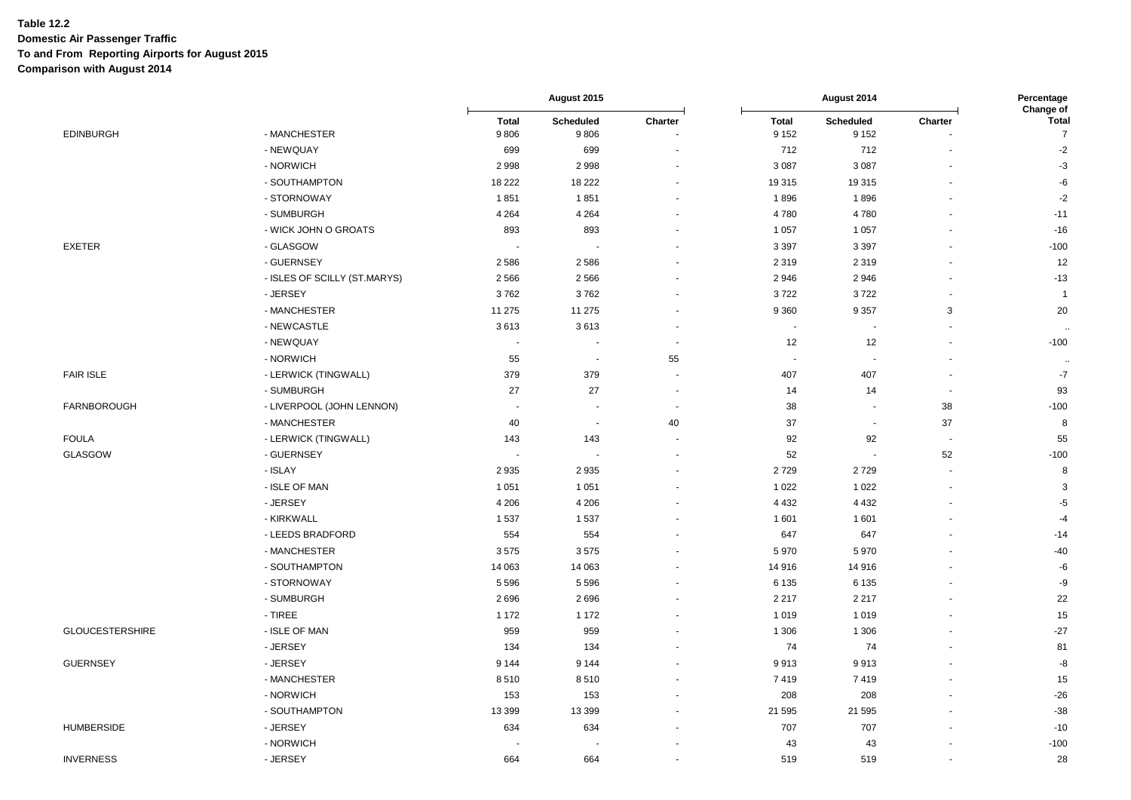|                        |                              | August 2015              |                             |                          |                          | Percentage               |                      |                                      |
|------------------------|------------------------------|--------------------------|-----------------------------|--------------------------|--------------------------|--------------------------|----------------------|--------------------------------------|
| <b>EDINBURGH</b>       | - MANCHESTER                 | <b>Total</b><br>9806     | Scheduled<br>9806           | Charter                  | <b>Total</b><br>9 1 5 2  | Scheduled<br>9 1 5 2     | Charter              | Change of<br>Total<br>$\overline{7}$ |
|                        | - NEWQUAY                    | 699                      | 699                         |                          | 712                      | 712                      |                      | $-2$                                 |
|                        | - NORWICH                    | 2998                     | 2998                        |                          | 3 0 8 7                  | 3 0 8 7                  |                      | $-3$                                 |
|                        | - SOUTHAMPTON                | 18 222                   | 18 222                      |                          | 19315                    | 19315                    |                      | $-6$                                 |
|                        | - STORNOWAY                  | 1851                     | 1851                        |                          | 1896                     | 1896                     |                      | $-2$                                 |
|                        | - SUMBURGH                   | 4 2 6 4                  | 4 2 6 4                     |                          | 4780                     | 4780                     |                      | $-11$                                |
|                        | - WICK JOHN O GROATS         | 893                      | 893                         |                          | 1 0 5 7                  | 1 0 5 7                  |                      | $-16$                                |
| <b>EXETER</b>          | - GLASGOW                    |                          | $\overline{\phantom{a}}$    |                          | 3 3 9 7                  | 3 3 9 7                  |                      | $-100$                               |
|                        | - GUERNSEY                   | 2586                     | 2586                        |                          | 2 3 1 9                  | 2 3 1 9                  |                      | 12                                   |
|                        | - ISLES OF SCILLY (ST.MARYS) | 2 5 6 6                  | 2 5 6 6                     |                          | 2946                     | 2946                     |                      | $-13$                                |
|                        | - JERSEY                     | 3762                     | 3762                        |                          | 3722                     | 3722                     |                      | $\overline{1}$                       |
|                        | - MANCHESTER                 | 11 275                   | 11 275                      |                          | 9 3 6 0                  | 9 3 5 7                  | 3                    | 20                                   |
|                        | - NEWCASTLE                  | 3613                     | 3613                        | $\sim$                   | $\sim$                   | $\blacksquare$           | $\ddot{\phantom{1}}$ |                                      |
|                        | - NEWQUAY                    |                          |                             | $\overline{\phantom{a}}$ | 12                       | 12                       |                      | $-100$                               |
|                        | - NORWICH                    | 55                       | $\sim$                      | 55                       | $\overline{\phantom{a}}$ | $\sim$                   |                      |                                      |
| <b>FAIR ISLE</b>       | - LERWICK (TINGWALL)         | 379                      | 379                         |                          | 407                      | 407                      |                      | $-7$                                 |
|                        | - SUMBURGH                   | 27                       | 27                          | $\overline{\phantom{a}}$ | 14                       | 14                       |                      | 93                                   |
| <b>FARNBOROUGH</b>     | - LIVERPOOL (JOHN LENNON)    |                          |                             | $\overline{\phantom{a}}$ | 38                       | $\ddot{\phantom{0}}$     | 38                   | $-100$                               |
|                        | - MANCHESTER                 | 40                       | $\mathcal{L}_{\mathcal{C}}$ | 40                       | 37                       | $\blacksquare$           | 37                   | 8                                    |
| <b>FOULA</b>           | - LERWICK (TINGWALL)         | 143                      | 143                         |                          | 92                       | 92                       | $\overline{a}$       | 55                                   |
| GLASGOW                | - GUERNSEY                   | $\overline{\phantom{a}}$ | $\sim$                      |                          | 52                       | $\overline{\phantom{a}}$ | 52                   | $-100$                               |
|                        | - ISLAY                      | 2935                     | 2935                        |                          | 2729                     | 2729                     | $\blacksquare$       | 8                                    |
|                        | - ISLE OF MAN                | 1 0 5 1                  | 1 0 5 1                     |                          | 1 0 2 2                  | 1 0 2 2                  | $\ddot{\phantom{1}}$ | 3                                    |
|                        | - JERSEY                     | 4 2 0 6                  | 4 2 0 6                     |                          | 4 4 3 2                  | 4 4 3 2                  |                      | $-5$                                 |
|                        | - KIRKWALL                   | 1537                     | 1537                        |                          | 1 601                    | 1601                     |                      | $-4$                                 |
|                        | - LEEDS BRADFORD             | 554                      | 554                         |                          | 647                      | 647                      |                      | $-14$                                |
|                        | - MANCHESTER                 | 3575                     | 3575                        |                          | 5970                     | 5970                     |                      | $-40$                                |
|                        | - SOUTHAMPTON                | 14 063                   | 14 063                      |                          | 14 916                   | 14 916                   |                      | $-6$                                 |
|                        | - STORNOWAY                  | 5 5 9 6                  | 5 5 9 6                     |                          | 6 1 3 5                  | 6 1 3 5                  |                      | -9                                   |
|                        | - SUMBURGH                   | 2696                     | 2696                        |                          | 2 2 1 7                  | 2 2 1 7                  |                      | 22                                   |
|                        | - TIREE                      | 1 1 7 2                  | 1 1 7 2                     |                          | 1019                     | 1019                     |                      | 15                                   |
| <b>GLOUCESTERSHIRE</b> | - ISLE OF MAN                | 959                      | 959                         |                          | 1 3 0 6                  | 1 3 0 6                  |                      | $-27$                                |
|                        | - JERSEY                     | 134                      | 134                         |                          | 74                       | 74                       |                      | 81                                   |
| <b>GUERNSEY</b>        | - JERSEY                     | 9 1 4 4                  | 9 1 4 4                     |                          | 9913                     | 9913                     |                      | -8                                   |
|                        | - MANCHESTER                 | 8510                     | 8510                        |                          | 7419                     | 7419                     |                      | 15                                   |
|                        | - NORWICH                    | 153                      | 153                         |                          | 208                      | 208                      |                      | $-26$                                |
|                        | - SOUTHAMPTON                | 13 399                   | 13 399                      |                          | 21 595                   | 21 595                   |                      | $-38$                                |
| <b>HUMBERSIDE</b>      | - JERSEY                     | 634                      | 634                         |                          | 707                      | 707                      |                      | $-10$                                |
|                        | - NORWICH                    |                          |                             |                          | 43                       | 43                       |                      | $-100$                               |
| <b>INVERNESS</b>       | - JERSEY                     | 664                      | 664                         |                          | 519                      | 519                      |                      | 28                                   |
|                        |                              |                          |                             |                          |                          |                          |                      |                                      |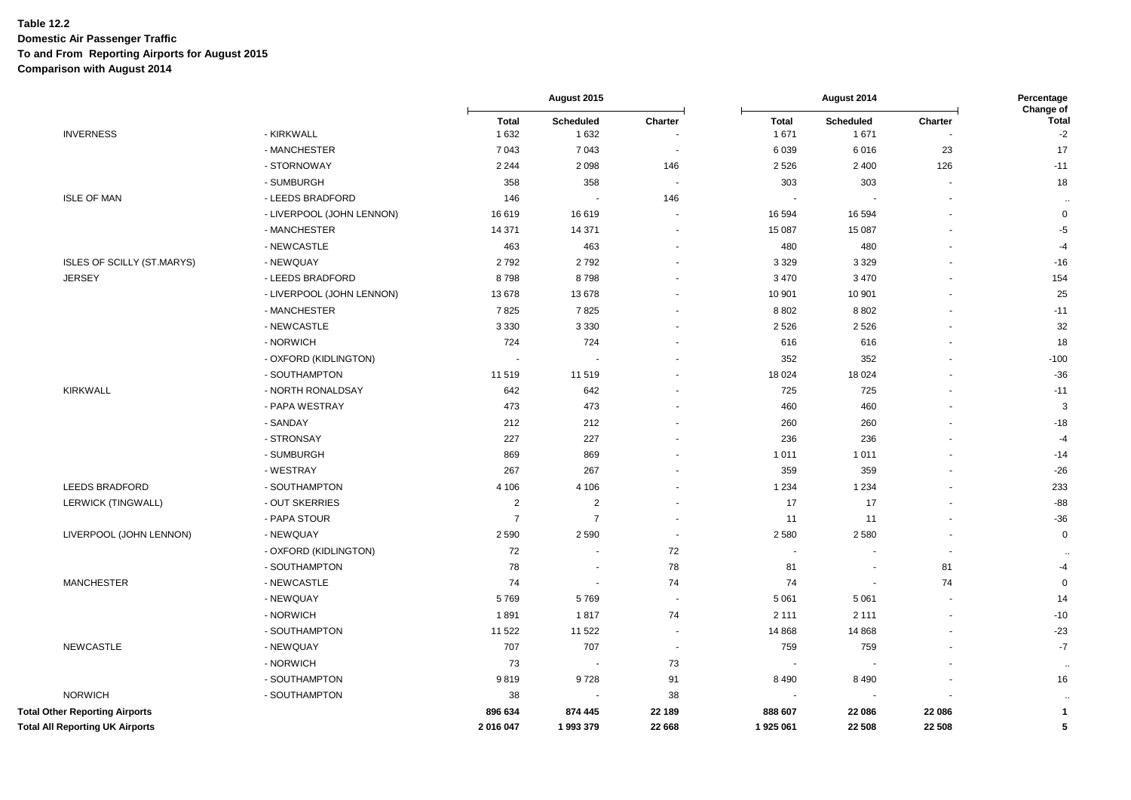|                                        |                           |                | August 2015              |                          | August 2014    |                          |         | Percentage<br>Change of |
|----------------------------------------|---------------------------|----------------|--------------------------|--------------------------|----------------|--------------------------|---------|-------------------------|
|                                        |                           | <b>Total</b>   | Scheduled                | Charter                  | <b>Total</b>   | Scheduled                | Charter | <b>Total</b>            |
| <b>INVERNESS</b>                       | - KIRKWALL                | 1632           | 1 6 3 2                  |                          | 1671           | 1671                     |         | $-2$                    |
|                                        | - MANCHESTER              | 7 0 4 3        | 7 0 4 3                  | $\overline{\phantom{a}}$ | 6039           | 6016                     | 23      | 17                      |
|                                        | - STORNOWAY               | 2 2 4 4        | 2 0 9 8                  | 146                      | 2 5 2 6        | 2 4 0 0                  | 126     | $-11$                   |
|                                        | - SUMBURGH                | 358            | 358                      | $\sim$                   | 303            | 303                      |         | 18                      |
| <b>ISLE OF MAN</b>                     | - LEEDS BRADFORD          | 146            |                          | 146                      |                |                          |         | $\sim$                  |
|                                        | - LIVERPOOL (JOHN LENNON) | 16 619         | 16619                    | $\blacksquare$           | 16 594         | 16 5 94                  |         | $\mathsf 0$             |
|                                        | - MANCHESTER              | 14 371         | 14 371                   | $\sim$                   | 15 087         | 15 087                   |         | $-5$                    |
|                                        | - NEWCASTLE               | 463            | 463                      | $\blacksquare$           | 480            | 480                      |         | $-4$                    |
| ISLES OF SCILLY (ST.MARYS)             | - NEWQUAY                 | 2792           | 2792                     | $\overline{\phantom{a}}$ | 3 3 2 9        | 3 3 2 9                  |         | $-16$                   |
| <b>JERSEY</b>                          | - LEEDS BRADFORD          | 8798           | 8798                     |                          | 3 4 7 0        | 3 4 7 0                  |         | 154                     |
|                                        | - LIVERPOOL (JOHN LENNON) | 13 678         | 13678                    | $\overline{\phantom{a}}$ | 10 901         | 10 901                   |         | 25                      |
|                                        | - MANCHESTER              | 7825           | 7825                     |                          | 8 8 0 2        | 8 8 0 2                  |         | $-11$                   |
|                                        | - NEWCASTLE               | 3 3 3 0        | 3 3 3 0                  |                          | 2 5 2 6        | 2526                     |         | 32                      |
|                                        | - NORWICH                 | 724            | 724                      |                          | 616            | 616                      |         | 18                      |
|                                        | - OXFORD (KIDLINGTON)     | $\sim$         |                          | $\blacksquare$           | 352            | 352                      |         | $-100$                  |
|                                        | - SOUTHAMPTON             | 11 519         | 11 519                   |                          | 18 0 24        | 18 0 24                  |         | $-36$                   |
| <b>KIRKWALL</b>                        | - NORTH RONALDSAY         | 642            | 642                      |                          | 725            | 725                      |         | $-11$                   |
|                                        | - PAPA WESTRAY            | 473            | 473                      |                          | 460            | 460                      |         | 3                       |
|                                        | - SANDAY                  | 212            | 212                      | $\overline{\phantom{a}}$ | 260            | 260                      |         | $-18$                   |
|                                        | - STRONSAY                | 227            | 227                      |                          | 236            | 236                      |         | $-4$                    |
|                                        | - SUMBURGH                | 869            | 869                      |                          | 1 0 1 1        | 1 0 1 1                  |         | $-14$                   |
|                                        | - WESTRAY                 | 267            | 267                      |                          | 359            | 359                      |         | $-26$                   |
| <b>LEEDS BRADFORD</b>                  | - SOUTHAMPTON             | 4 1 0 6        | 4 1 0 6                  | $\blacksquare$           | 1 2 3 4        | 1 2 3 4                  |         | 233                     |
| LERWICK (TINGWALL)                     | - OUT SKERRIES            | $\overline{2}$ | $\overline{2}$           | $\blacksquare$           | 17             | 17                       |         | $-88$                   |
|                                        | - PAPA STOUR              | $\overline{7}$ | $\overline{7}$           |                          | 11             | 11                       |         | $-36$                   |
| LIVERPOOL (JOHN LENNON)                | - NEWQUAY                 | 2590           | 2 5 9 0                  | $\overline{\phantom{a}}$ | 2580           | 2580                     |         | $\pmb{0}$               |
|                                        | - OXFORD (KIDLINGTON)     | 72             |                          | 72                       |                |                          |         |                         |
|                                        | - SOUTHAMPTON             | 78             | $\overline{\phantom{a}}$ | 78                       | 81             | $\overline{\phantom{a}}$ | 81      | -4                      |
| <b>MANCHESTER</b>                      | - NEWCASTLE               | 74             | ÷,                       | 74                       | 74             | $\sim$                   | 74      | $\mathsf 0$             |
|                                        | - NEWQUAY                 | 5769           | 5769                     | $\sim$                   | 5 0 6 1        | 5 0 6 1                  |         | 14                      |
|                                        | - NORWICH                 | 1891           | 1817                     | 74                       | 2 1 1 1        | 2 1 1 1                  |         | $-10$                   |
|                                        | - SOUTHAMPTON             | 11 522         | 11 522                   | $\sim$                   | 14 8 68        | 14 8 68                  |         | $-23$                   |
| <b>NEWCASTLE</b>                       | - NEWQUAY                 | 707            | 707                      | $\overline{\phantom{a}}$ | 759            | 759                      |         | $-7$                    |
|                                        | - NORWICH                 | 73             | $\overline{\phantom{a}}$ | 73                       | $\blacksquare$ | $\overline{\phantom{a}}$ |         | $\sim$                  |
|                                        | - SOUTHAMPTON             | 9819           | 9728                     | 91                       | 8 4 9 0        | 8 4 9 0                  |         | 16                      |
| <b>NORWICH</b>                         | - SOUTHAMPTON             | 38             |                          | 38                       |                |                          |         | $\ldots$                |
| <b>Total Other Reporting Airports</b>  |                           | 896 634        | 874 445                  | 22 189                   | 888 607        | 22 086                   | 22 086  | $\mathbf{1}$            |
| <b>Total All Reporting UK Airports</b> |                           | 2016047        | 1993379                  | 22 668                   | 1925 061       | 22 508                   | 22 508  | 5                       |